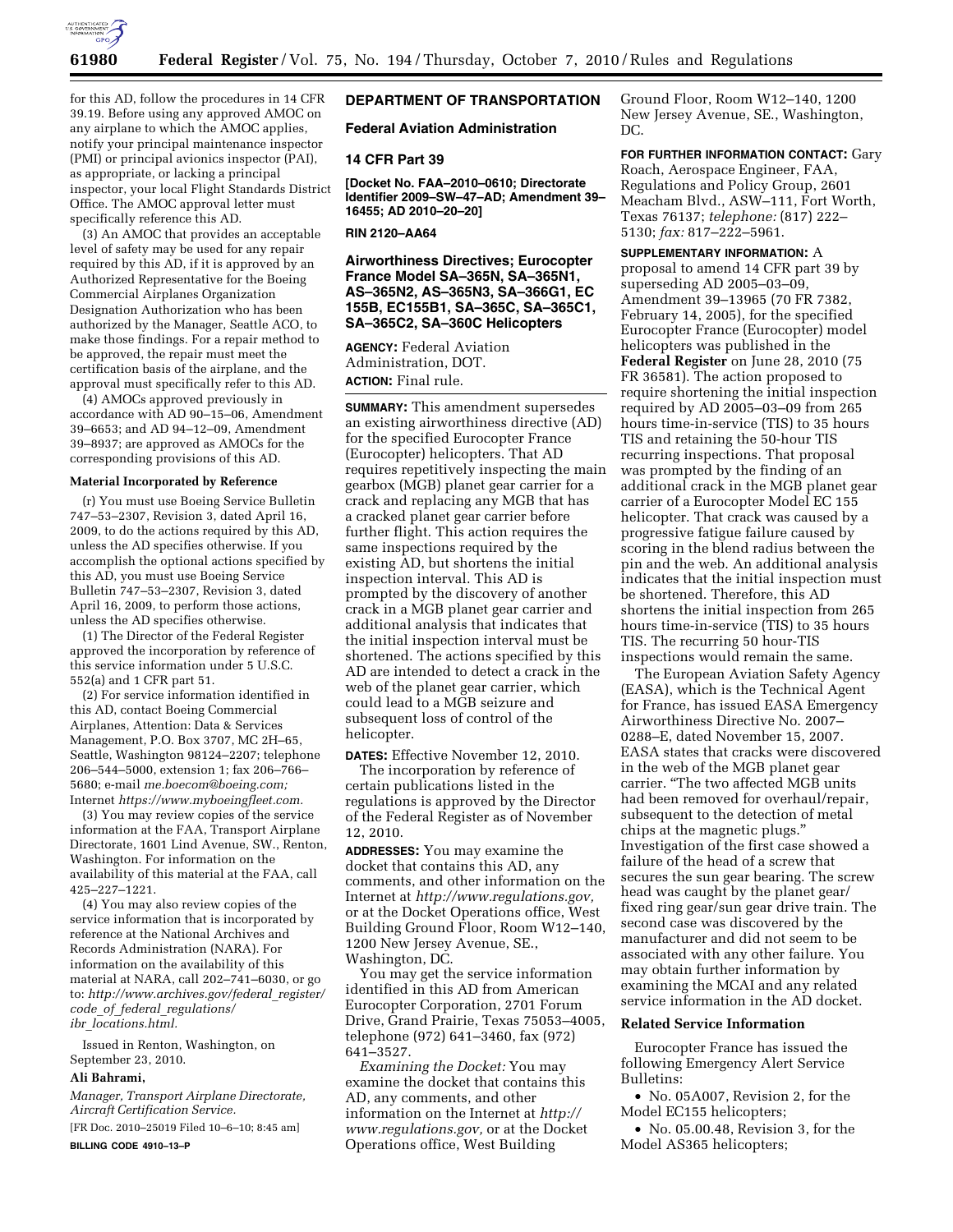

for this AD, follow the procedures in 14 CFR 39.19. Before using any approved AMOC on any airplane to which the AMOC applies, notify your principal maintenance inspector (PMI) or principal avionics inspector (PAI), as appropriate, or lacking a principal inspector, your local Flight Standards District Office. The AMOC approval letter must specifically reference this AD.

(3) An AMOC that provides an acceptable level of safety may be used for any repair required by this AD, if it is approved by an Authorized Representative for the Boeing Commercial Airplanes Organization Designation Authorization who has been authorized by the Manager, Seattle ACO, to make those findings. For a repair method to be approved, the repair must meet the certification basis of the airplane, and the approval must specifically refer to this AD.

(4) AMOCs approved previously in accordance with AD 90–15–06, Amendment 39–6653; and AD 94–12–09, Amendment 39–8937; are approved as AMOCs for the corresponding provisions of this AD.

### **Material Incorporated by Reference**

(r) You must use Boeing Service Bulletin 747–53–2307, Revision 3, dated April 16, 2009, to do the actions required by this AD, unless the AD specifies otherwise. If you accomplish the optional actions specified by this AD, you must use Boeing Service Bulletin 747–53–2307, Revision 3, dated April 16, 2009, to perform those actions, unless the AD specifies otherwise.

(1) The Director of the Federal Register approved the incorporation by reference of this service information under 5 U.S.C. 552(a) and 1 CFR part 51.

(2) For service information identified in this AD, contact Boeing Commercial Airplanes, Attention: Data & Services Management, P.O. Box 3707, MC 2H–65, Seattle, Washington 98124–2207; telephone 206–544–5000, extension 1; fax 206–766– 5680; e-mail *[me.boecom@boeing.com;](mailto:me.boecom@boeing.com)*  Internet *[https://www.myboeingfleet.com.](https://www.myboeingfleet.com)* 

(3) You may review copies of the service information at the FAA, Transport Airplane Directorate, 1601 Lind Avenue, SW., Renton, Washington. For information on the availability of this material at the FAA, call 425–227–1221.

(4) You may also review copies of the service information that is incorporated by reference at the National Archives and Records Administration (NARA). For information on the availability of this material at NARA, call 202–741–6030, or go to: *[http://www.archives.gov/federal](http://www.archives.gov/federal_register/code_of_federal_regulations/ibr_locations.html)*\_*register/ code*\_*of*\_*federal*\_*[regulations/](http://www.archives.gov/federal_register/code_of_federal_regulations/ibr_locations.html) ibr*\_*[locations.html.](http://www.archives.gov/federal_register/code_of_federal_regulations/ibr_locations.html)* 

Issued in Renton, Washington, on September 23, 2010.

#### **Ali Bahrami,**

*Manager, Transport Airplane Directorate, Aircraft Certification Service.* 

[FR Doc. 2010–25019 Filed 10–6–10; 8:45 am] **BILLING CODE 4910–13–P** 

# **DEPARTMENT OF TRANSPORTATION**

### **Federal Aviation Administration**

### **14 CFR Part 39**

**[Docket No. FAA–2010–0610; Directorate Identifier 2009–SW–47–AD; Amendment 39– 16455; AD 2010–20–20]** 

**RIN 2120–AA64** 

**Airworthiness Directives; Eurocopter France Model SA–365N, SA–365N1, AS–365N2, AS–365N3, SA–366G1, EC 155B, EC155B1, SA–365C, SA–365C1, SA–365C2, SA–360C Helicopters** 

**AGENCY:** Federal Aviation Administration, DOT. **ACTION:** Final rule.

**SUMMARY:** This amendment supersedes an existing airworthiness directive (AD) for the specified Eurocopter France (Eurocopter) helicopters. That AD requires repetitively inspecting the main gearbox (MGB) planet gear carrier for a crack and replacing any MGB that has a cracked planet gear carrier before further flight. This action requires the same inspections required by the existing AD, but shortens the initial inspection interval. This AD is prompted by the discovery of another crack in a MGB planet gear carrier and additional analysis that indicates that the initial inspection interval must be shortened. The actions specified by this AD are intended to detect a crack in the web of the planet gear carrier, which could lead to a MGB seizure and subsequent loss of control of the helicopter.

**DATES:** Effective November 12, 2010.

The incorporation by reference of certain publications listed in the regulations is approved by the Director of the Federal Register as of November 12, 2010.

**ADDRESSES:** You may examine the docket that contains this AD, any comments, and other information on the Internet at *[http://www.regulations.gov,](http://www.regulations.gov)*  or at the Docket Operations office, West Building Ground Floor, Room W12–140, 1200 New Jersey Avenue, SE., Washington, DC.

You may get the service information identified in this AD from American Eurocopter Corporation, 2701 Forum Drive, Grand Prairie, Texas 75053–4005, telephone (972) 641–3460, fax (972) 641–3527.

*Examining the Docket:* You may examine the docket that contains this AD, any comments, and other information on the Internet at *[http://](http://www.regulations.gov) [www.regulations.gov,](http://www.regulations.gov)* or at the Docket Operations office, West Building

Ground Floor, Room W12–140, 1200 New Jersey Avenue, SE., Washington, DC.

**FOR FURTHER INFORMATION CONTACT:** Gary Roach, Aerospace Engineer, FAA, Regulations and Policy Group, 2601 Meacham Blvd., ASW–111, Fort Worth, Texas 76137; *telephone:* (817) 222– 5130; *fax:* 817–222–5961.

**SUPPLEMENTARY INFORMATION:** A proposal to amend 14 CFR part 39 by superseding AD 2005–03–09, Amendment 39–13965 (70 FR 7382, February 14, 2005), for the specified Eurocopter France (Eurocopter) model helicopters was published in the **Federal Register** on June 28, 2010 (75 FR 36581). The action proposed to require shortening the initial inspection required by AD 2005–03–09 from 265 hours time-in-service (TIS) to 35 hours TIS and retaining the 50-hour TIS recurring inspections. That proposal was prompted by the finding of an additional crack in the MGB planet gear carrier of a Eurocopter Model EC 155 helicopter. That crack was caused by a progressive fatigue failure caused by scoring in the blend radius between the pin and the web. An additional analysis indicates that the initial inspection must be shortened. Therefore, this AD shortens the initial inspection from 265 hours time-in-service (TIS) to 35 hours TIS. The recurring 50 hour-TIS inspections would remain the same.

The European Aviation Safety Agency (EASA), which is the Technical Agent for France, has issued EASA Emergency Airworthiness Directive No. 2007– 0288–E, dated November 15, 2007. EASA states that cracks were discovered in the web of the MGB planet gear carrier. ''The two affected MGB units had been removed for overhaul/repair, subsequent to the detection of metal chips at the magnetic plugs.'' Investigation of the first case showed a failure of the head of a screw that secures the sun gear bearing. The screw head was caught by the planet gear/ fixed ring gear/sun gear drive train. The second case was discovered by the manufacturer and did not seem to be associated with any other failure. You may obtain further information by examining the MCAI and any related service information in the AD docket.

## **Related Service Information**

Eurocopter France has issued the following Emergency Alert Service Bulletins:

• No. 05A007, Revision 2, for the Model EC155 helicopters;

• No. 05.00.48, Revision 3, for the Model AS365 helicopters;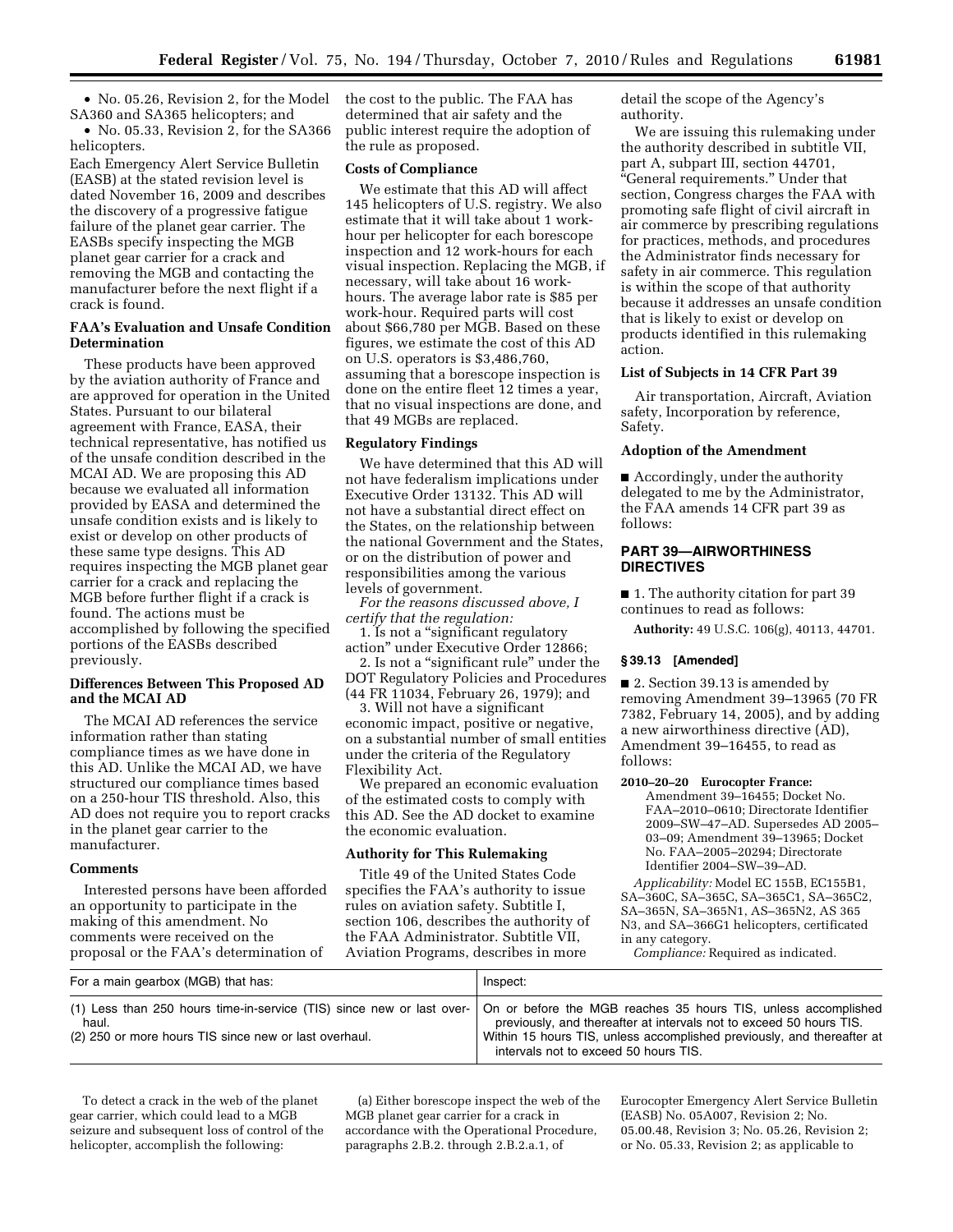• No. 05.26, Revision 2, for the Model SA360 and SA365 helicopters; and

• No. 05.33, Revision 2, for the SA366 helicopters.

Each Emergency Alert Service Bulletin (EASB) at the stated revision level is dated November 16, 2009 and describes the discovery of a progressive fatigue failure of the planet gear carrier. The EASBs specify inspecting the MGB planet gear carrier for a crack and removing the MGB and contacting the manufacturer before the next flight if a crack is found.

## **FAA's Evaluation and Unsafe Condition Determination**

These products have been approved by the aviation authority of France and are approved for operation in the United States. Pursuant to our bilateral agreement with France, EASA, their technical representative, has notified us of the unsafe condition described in the MCAI AD. We are proposing this AD because we evaluated all information provided by EASA and determined the unsafe condition exists and is likely to exist or develop on other products of these same type designs. This AD requires inspecting the MGB planet gear carrier for a crack and replacing the MGB before further flight if a crack is found. The actions must be accomplished by following the specified portions of the EASBs described previously.

## **Differences Between This Proposed AD and the MCAI AD**

The MCAI AD references the service information rather than stating compliance times as we have done in this AD. Unlike the MCAI AD, we have structured our compliance times based on a 250-hour TIS threshold. Also, this AD does not require you to report cracks in the planet gear carrier to the manufacturer.

### **Comments**

Interested persons have been afforded an opportunity to participate in the making of this amendment. No comments were received on the proposal or the FAA's determination of

the cost to the public. The FAA has determined that air safety and the public interest require the adoption of the rule as proposed.

## **Costs of Compliance**

We estimate that this AD will affect 145 helicopters of U.S. registry. We also estimate that it will take about 1 workhour per helicopter for each borescope inspection and 12 work-hours for each visual inspection. Replacing the MGB, if necessary, will take about 16 workhours. The average labor rate is \$85 per work-hour. Required parts will cost about \$66,780 per MGB. Based on these figures, we estimate the cost of this AD on U.S. operators is \$3,486,760, assuming that a borescope inspection is done on the entire fleet 12 times a year, that no visual inspections are done, and that 49 MGBs are replaced.

### **Regulatory Findings**

We have determined that this AD will not have federalism implications under Executive Order 13132. This AD will not have a substantial direct effect on the States, on the relationship between the national Government and the States, or on the distribution of power and responsibilities among the various levels of government.

*For the reasons discussed above, I certify that the regulation:* 

1. Is not a ''significant regulatory action'' under Executive Order 12866;

2. Is not a ''significant rule'' under the DOT Regulatory Policies and Procedures (44 FR 11034, February 26, 1979); and

3. Will not have a significant economic impact, positive or negative, on a substantial number of small entities under the criteria of the Regulatory Flexibility Act.

We prepared an economic evaluation of the estimated costs to comply with this AD. See the AD docket to examine the economic evaluation.

## **Authority for This Rulemaking**

Title 49 of the United States Code specifies the FAA's authority to issue rules on aviation safety. Subtitle I, section 106, describes the authority of the FAA Administrator. Subtitle VII, Aviation Programs, describes in more

detail the scope of the Agency's authority.

We are issuing this rulemaking under the authority described in subtitle VII, part A, subpart III, section 44701, ''General requirements.'' Under that section, Congress charges the FAA with promoting safe flight of civil aircraft in air commerce by prescribing regulations for practices, methods, and procedures the Administrator finds necessary for safety in air commerce. This regulation is within the scope of that authority because it addresses an unsafe condition that is likely to exist or develop on products identified in this rulemaking action.

## **List of Subjects in 14 CFR Part 39**

Air transportation, Aircraft, Aviation safety, Incorporation by reference, Safety.

## **Adoption of the Amendment**

■ Accordingly, under the authority delegated to me by the Administrator, the FAA amends 14 CFR part 39 as follows:

## **PART 39—AIRWORTHINESS DIRECTIVES**

■ 1. The authority citation for part 39 continues to read as follows:

**Authority:** 49 U.S.C. 106(g), 40113, 44701.

#### **§ 39.13 [Amended]**

■ 2. Section 39.13 is amended by removing Amendment 39–13965 (70 FR 7382, February 14, 2005), and by adding a new airworthiness directive (AD), Amendment 39–16455, to read as follows:

#### **2010–20–20 Eurocopter France:**

Amendment 39–16455; Docket No. FAA–2010–0610; Directorate Identifier 2009–SW–47–AD. Supersedes AD 2005– 03–09; Amendment 39–13965; Docket No. FAA–2005–20294; Directorate Identifier 2004–SW–39–AD.

*Applicability:* Model EC 155B, EC155B1, SA–360C, SA–365C, SA–365C1, SA–365C2, SA–365N, SA–365N1, AS–365N2, AS 365 N3, and SA–366G1 helicopters, certificated in any category.

*Compliance:* Required as indicated.

| For a main gearbox (MGB) that has:                             | Inspect:                                                                                                                                                                                                                                                                                                                         |
|----------------------------------------------------------------|----------------------------------------------------------------------------------------------------------------------------------------------------------------------------------------------------------------------------------------------------------------------------------------------------------------------------------|
| haul.<br>(2) 250 or more hours TIS since new or last overhaul. | (1) Less than 250 hours time-in-service (TIS) since new or last over-   On or before the MGB reaches 35 hours TIS, unless accomplished<br>previously, and thereafter at intervals not to exceed 50 hours TIS.<br>Within 15 hours TIS, unless accomplished previously, and thereafter at<br>intervals not to exceed 50 hours TIS. |

To detect a crack in the web of the planet gear carrier, which could lead to a MGB seizure and subsequent loss of control of the helicopter, accomplish the following:

(a) Either borescope inspect the web of the MGB planet gear carrier for a crack in accordance with the Operational Procedure, paragraphs 2.B.2. through 2.B.2.a.1, of

Eurocopter Emergency Alert Service Bulletin (EASB) No. 05A007, Revision 2; No. 05.00.48, Revision 3; No. 05.26, Revision 2; or No. 05.33, Revision 2; as applicable to